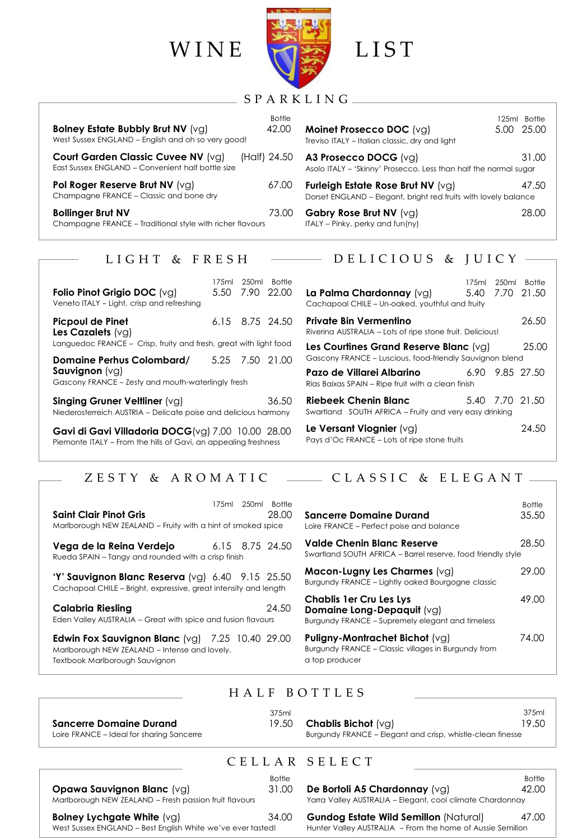

### S P A R K L I N G

Bottle

| Bolney Estate Bubbly Brut NV (vg)<br>West Sussex ENGLAND - English and oh so very good!                     | <b>BOTHE</b><br>42 NO |
|-------------------------------------------------------------------------------------------------------------|-----------------------|
| <b>Court Garden Classic Cuvee NV (vg)</b> (Half) 24.50<br>East Sussex ENGLAND - Convenient half bottle size |                       |
| Pol Roger Reserve Brut NV (vg)<br>Champagne FRANCE - Classic and bone dry                                   | 67.00                 |
| <b>Bollinger Brut NV</b><br>Champagne FRANCE - Traditional style with richer flavours                       | 73.00                 |

### 125ml Bottle **Moinet Prosecco DOC** (vg) 5.00 25.00 Treviso ITALY – Italian classic, dry and light **A3 Prosecco DOCG** (vg) 31.00 Asolo ITALY – 'Skinny' Prosecco. Less than half the normal sugar **Furleigh Estate Rose Brut NV** (vg) 47.50 Dorset ENGLAND – Elegant, bright red fruits with lovely balance **Gabry Rose Brut NV** (vg) 28.00 ITALY – Pinky, perky and fun(ny)

### L I G H T & F R E S H

| Folio Pinot Grigio DOC (vg)<br>Veneto ITALY - Light, crisp and refreshing                                           |  |  | 175ml 250ml Bottle<br>5.50 7.90 22.00 |
|---------------------------------------------------------------------------------------------------------------------|--|--|---------------------------------------|
| <b>Picpoul de Pinet</b><br>Les Cazalets $(vg)$<br>Languedoc FRANCE – Crisp, fruity and fresh, great with light food |  |  | 6.15 8.75 24.50                       |
| Domaine Perhus Colombard/<br><b>Sauvignon</b> $(vq)$<br>Gascony FRANCE - Zesty and mouth-waterlingly fresh          |  |  | 5.25 7.50 21.00                       |
| Singing Gruner Veltliner $(vq)$<br>36.50<br>Niederosterreich AUSTRIA - Delicate poise and delicious harmony         |  |  |                                       |

**Gavi di Gavi Villadoria DOCG**(vg) 7.00 10.00 28.00 Piemonte ITALY – From the hills of Gavi, an appealing freshness

## $-$  DELICIOUS & JUICY  $-$

| <b>La Palma Chardonnay</b> (va)<br>Cachapoal CHILE - Un-oaked, youthful and fruity                 |  | 175ml 250ml Bottle<br>5.40 7.70 21.50 |
|----------------------------------------------------------------------------------------------------|--|---------------------------------------|
| Private Bin Vermentino<br>Riverina AUSTRALIA – Lots of ripe stone fruit. Delicious!                |  | 26.50                                 |
| Les Courtines Grand Reserve Blanc (va)<br>Gascony FRANCE - Luscious, food-friendly Sauvignon blend |  | 25.00                                 |
| Pazo de Villarei Albarino<br>Rias Baixas SPAIN - Ripe fruit with a clean finish                    |  | 6.90 9.85 27.50                       |
| Riebeek Chenin Blanc<br>Swartland SOUTH AFRICA - Fruity and very easy drinking                     |  | 5.40 7.70 21.50                       |
| Le Versant Viognier $(vg)$<br>Pays d'Oc FRANCE - Lots of ripe stone fruits                         |  | 24.50                                 |

# ZESTY & AROMATIC  $\longrightarrow$  CLASSIC & ELEGANT-

| Saint Clair Pinot Gris<br>Marlborough NEW ZEALAND - Fruity with a hint of smoked spice                                                   |                 | 175ml 250ml Bottle | 28.00 |
|------------------------------------------------------------------------------------------------------------------------------------------|-----------------|--------------------|-------|
| Vega de la Reina Verdejo<br>Rueda SPAIN – Tangy and rounded with a crisp finish                                                          | 6.15 8.75 24.50 |                    |       |
| "Y" Sauvignon Blanc Reserva $\lbrack \vee q \rbrack$ 6.40 9.15 25.50<br>Cachapoal CHILE – Bright, expressive, great intensity and length |                 |                    |       |
| Calabria Riesling<br>Eden Valley AUSTRALIA – Great with spice and fusion flavours                                                        |                 |                    | 24.50 |

**Edwin Fox Sauvignon Blanc** (vg) 7.25 10.40 29.00 Marlborough NEW ZEALAND – Intense and lovely. Textbook Marlborough Sauvignon

| Sancerre Domaine Durand<br>Loire FRANCE – Perfect poise and balance                                              | <b>Bottle</b><br>35.50 |
|------------------------------------------------------------------------------------------------------------------|------------------------|
| Valde Chenin Blanc Reserve<br>Swartland SOUTH AFRICA - Barrel reserve, food friendly style                       | 28.50                  |
| $Macon-Lugny$ Les Charmes $(vg)$<br>Burgundy FRANCE - Lightly oaked Bourgogne classic                            | 29.00                  |
| Chablis 1er Cru Les Lys<br><b>Domaine Long-Depaquit</b> (vg)<br>Burgundy FRANCE - Supremely elegant and timeless | 49.00                  |
| <b>Puligny-Montrachet Bichot (</b> vg)<br>Burgundy FRANCE - Classic villages in Burgundy from<br>a top producer  | 74.00                  |

### H A L F B O T T L E S

| 375ml<br><b>Chablis Bichot</b> (va)<br>19.50<br>Sancerre Domaine Durand<br>Burgundy FRANCE – Elegant and crisp, whistle-clean finesse<br>Loire FRANCE – Ideal for sharing Sancerre | 375ml<br>19.50 |
|------------------------------------------------------------------------------------------------------------------------------------------------------------------------------------|----------------|
|------------------------------------------------------------------------------------------------------------------------------------------------------------------------------------|----------------|

## C E L L A R S E L E C T

Bottle **Opawa Sauvignon Blanc** (vg) 31.00 Marlborough NEW ZEALAND – Fresh passion fruit flavours **Bolney Lychgate White**  $(vg)$  34.00 West Sussex ENGLAND – Best English White we've ever tasted!

**De Bortoli A5 Chardonnay** (vg) 42.00 Yarra Valley AUSTRALIA – Elegant, cool climate Chardonnay

**e** (vg) 34.00 **Gundog Estate Wild Semillon** (Natural) 47.00 Hunter Valley AUSTRALIA – From the home of Aussie Semillon

Bottle